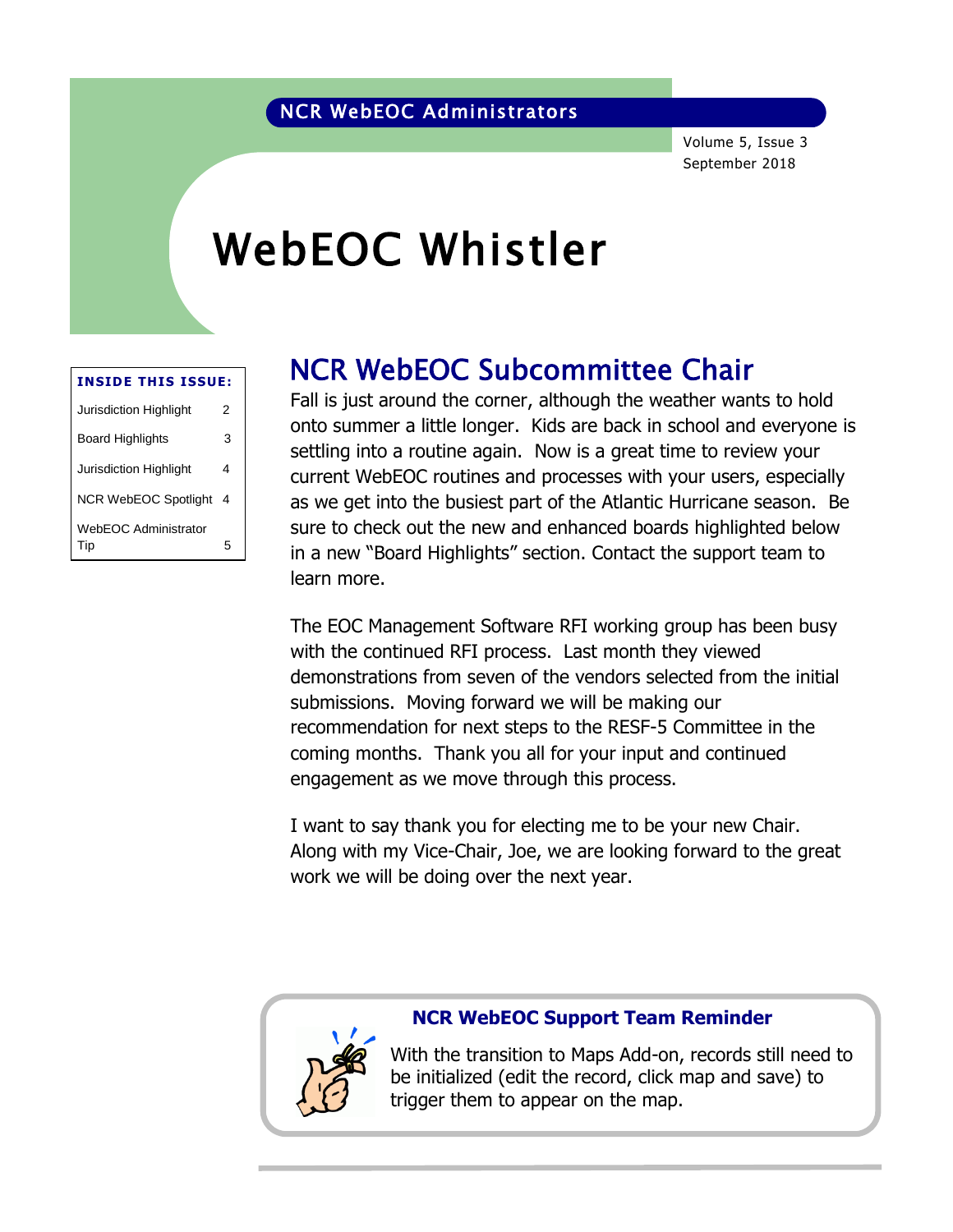Volume 5, Issue 3 September 2018

# WebEOC Whistler

| <b>INSIDE THIS ISSUE:</b>   |   |  |  |  |  |  |
|-----------------------------|---|--|--|--|--|--|
| Jurisdiction Highlight      | 2 |  |  |  |  |  |
| Board Highlights            | 3 |  |  |  |  |  |
| Jurisdiction Highlight      | 4 |  |  |  |  |  |
| <b>NCR WebEOC Spotlight</b> | 4 |  |  |  |  |  |
| WebEOC Administrator<br>Tip | 5 |  |  |  |  |  |

### NCR WebEOC Subcommittee Chair

Fall is just around the corner, although the weather wants to hold<br>onto summer a little longer. Kids are back in school and evenience onto summer a little longer. Kids are back in school and everyone is settling into a routine again. Now is a great time to review your current WebEOC routines and processes with your users, especially as we get into the busiest part of the Atlantic Hurricane season. Be sure to check out the new and enhanced boards highlighted below in a new "Board Highlights" section. Contact the support team to learn more.

The EOC Management Software RFI working group has been busy with the continued RFI process. Last month they viewed demonstrations from seven of the vendors selected from the initial submissions. Moving forward we will be making our recommendation for next steps to the RESF-5 Committee in the coming months. Thank you all for your input and continued engagement as we move through this process.

I want to say thank you for electing me to be your new Chair. Along with my Vice-Chair, Joe, we are looking forward to the great work we will be doing over the next year.



#### **NCR WebEOC Support Team Reminder**

With the transition to Maps Add-on, records still need to be initialized (edit the record, click map and save) to trigger them to appear on the map.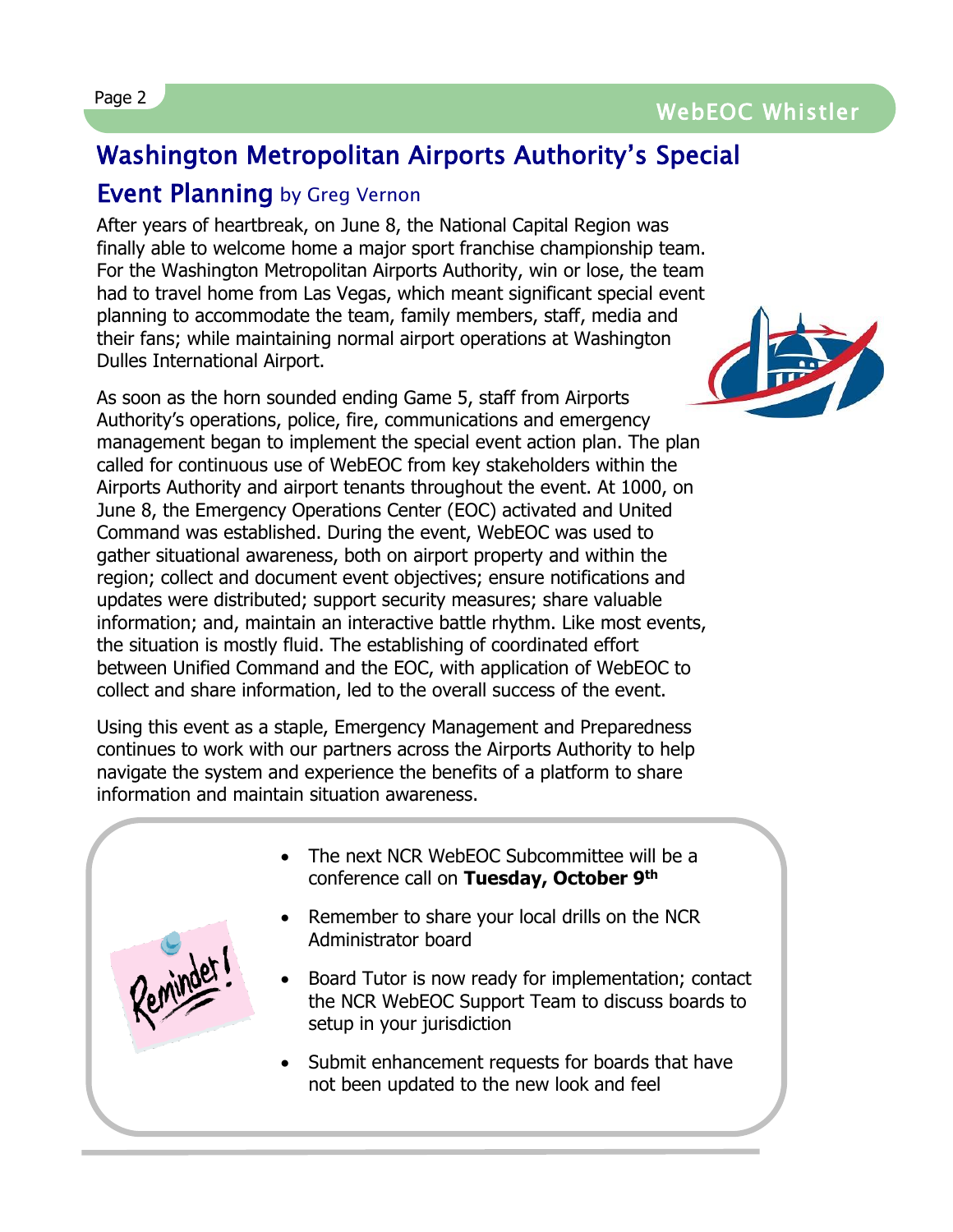### Page 2 WebEOC Whistler

### Washington Metropolitan Airports Authority's Special

#### Event Planning by Greg Vernon

After years of heartbreak, on June 8, the National Capital Region was finally able to welcome home a major sport franchise championship team. For the Washington Metropolitan Airports Authority, win or lose, the team had to travel home from Las Vegas, which meant significant special event planning to accommodate the team, family members, staff, media and their fans; while maintaining normal airport operations at Washington Dulles International Airport.

As soon as the horn sounded ending Game 5, staff from Airports Authority's operations, police, fire, communications and emergency management began to implement the special event action plan. The plan called for continuous use of WebEOC from key stakeholders within the Airports Authority and airport tenants throughout the event. At 1000, on June 8, the Emergency Operations Center (EOC) activated and United Command was established. During the event, WebEOC was used to gather situational awareness, both on airport property and within the region; collect and document event objectives; ensure notifications and updates were distributed; support security measures; share valuable information; and, maintain an interactive battle rhythm. Like most events, the situation is mostly fluid. The establishing of coordinated effort between Unified Command and the EOC, with application of WebEOC to collect and share information, led to the overall success of the event.

Using this event as a staple, Emergency Management and Preparedness continues to work with our partners across the Airports Authority to help navigate the system and experience the benefits of a platform to share information and maintain situation awareness.

- The next NCR WebEOC Subcommittee will be a conference call on **Tuesday, October 9th**
	- Remember to share your local drills on the NCR Administrator board
	- Board Tutor is now ready for implementation; contact the NCR WebEOC Support Team to discuss boards to setup in your jurisdiction
	- Submit enhancement requests for boards that have not been updated to the new look and feel

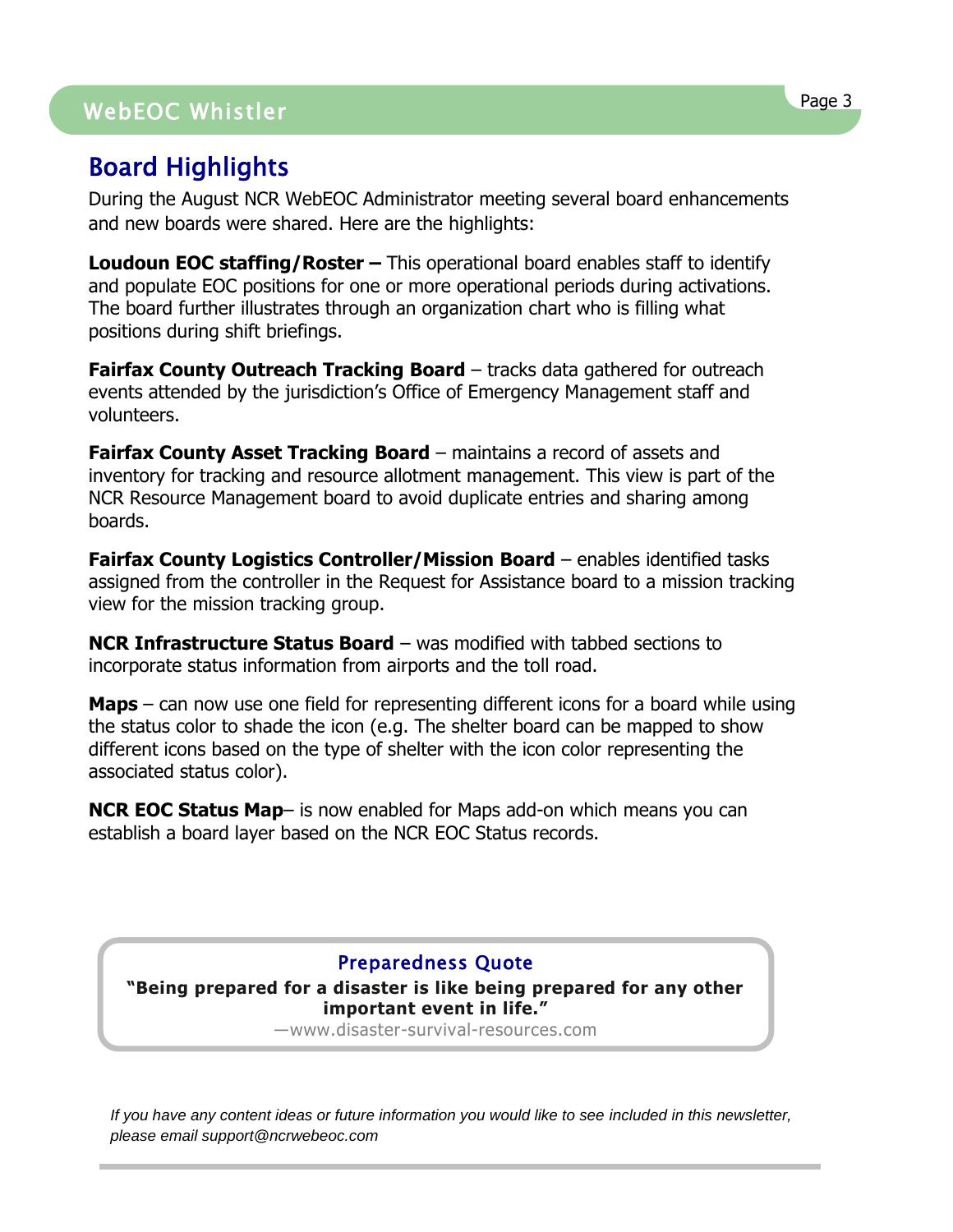## WebEOC Whistler Page 3 WebEOC Whistler

### Board Highlights

During the August NCR WebEOC Administrator meeting several board enhancements and new boards were shared. Here are the highlights:

**Loudoun EOC staffing/Roster –** This operational board enables staff to identify and populate EOC positions for one or more operational periods during activations. The board further illustrates through an organization chart who is filling what positions during shift briefings.

**Fairfax County Outreach Tracking Board** – tracks data gathered for outreach events attended by the jurisdiction's Office of Emergency Management staff and volunteers.

**Fairfax County Asset Tracking Board** – maintains a record of assets and inventory for tracking and resource allotment management. This view is part of the NCR Resource Management board to avoid duplicate entries and sharing among boards.

**Fairfax County Logistics Controller/Mission Board** – enables identified tasks assigned from the controller in the Request for Assistance board to a mission tracking view for the mission tracking group.

**NCR Infrastructure Status Board** – was modified with tabbed sections to incorporate status information from airports and the toll road.

**Maps** – can now use one field for representing different icons for a board while using the status color to shade the icon (e.g. The shelter board can be mapped to show different icons based on the type of shelter with the icon color representing the associated status color).

**NCR EOC Status Map**– is now enabled for Maps add-on which means you can establish a board layer based on the NCR EOC Status records.

#### Preparedness Quote

**"Being prepared for a disaster is like being prepared for any other important event in life."**

―www.disaster-survival-resources.com

*If you have any content ideas or future information you would like to see included in this newsletter, please email support@ncrwebeoc.com*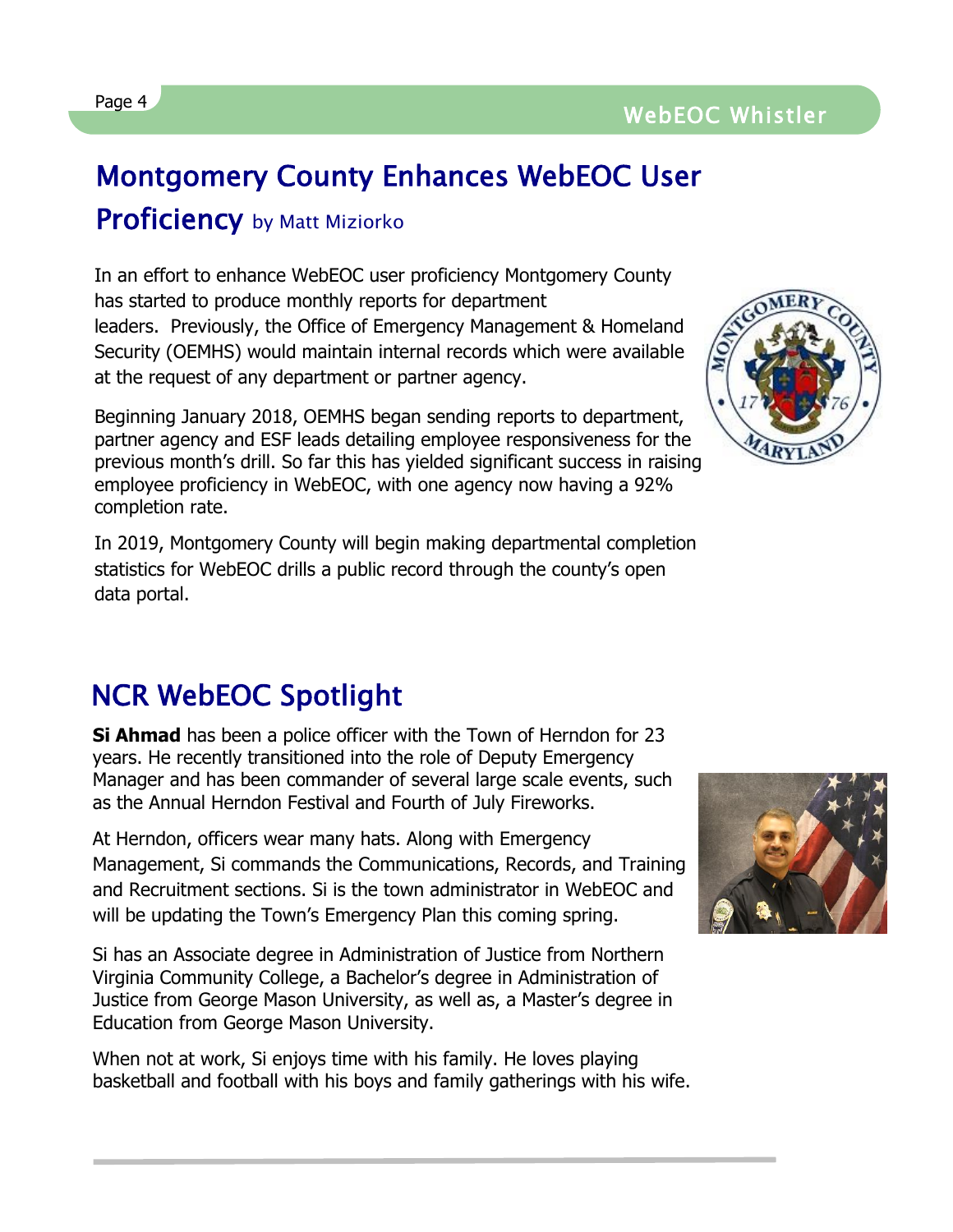### Montgomery County Enhances WebEOC User

### **Proficiency** by Matt Miziorko

In an effort to enhance WebEOC user proficiency Montgomery County has started to produce monthly reports for department leaders. Previously, the Office of Emergency Management & Homeland Security (OEMHS) would maintain internal records which were available at the request of any department or partner agency.

Beginning January 2018, OEMHS began sending reports to department, partner agency and ESF leads detailing employee responsiveness for the previous month's drill. So far this has yielded significant success in raising employee proficiency in WebEOC, with one agency now having a 92% completion rate.

In 2019, Montgomery County will begin making departmental completion statistics for WebEOC drills a public record through the county's open data portal.

### NCR WebEOC Spotlight

**Si Ahmad** has been a police officer with the Town of Herndon for 23 years. He recently transitioned into the role of Deputy Emergency Manager and has been commander of several large scale events, such as the Annual Herndon Festival and Fourth of July Fireworks.

At Herndon, officers wear many hats. Along with Emergency Management, Si commands the Communications, Records, and Training and Recruitment sections. Si is the town administrator in WebEOC and will be updating the Town's Emergency Plan this coming spring.

Si has an Associate degree in Administration of Justice from Northern Virginia Community College, a Bachelor's degree in Administration of Justice from George Mason University, as well as, a Master's degree in Education from George Mason University.

When not at work, Si enjoys time with his family. He loves playing basketball and football with his boys and family gatherings with his wife.







L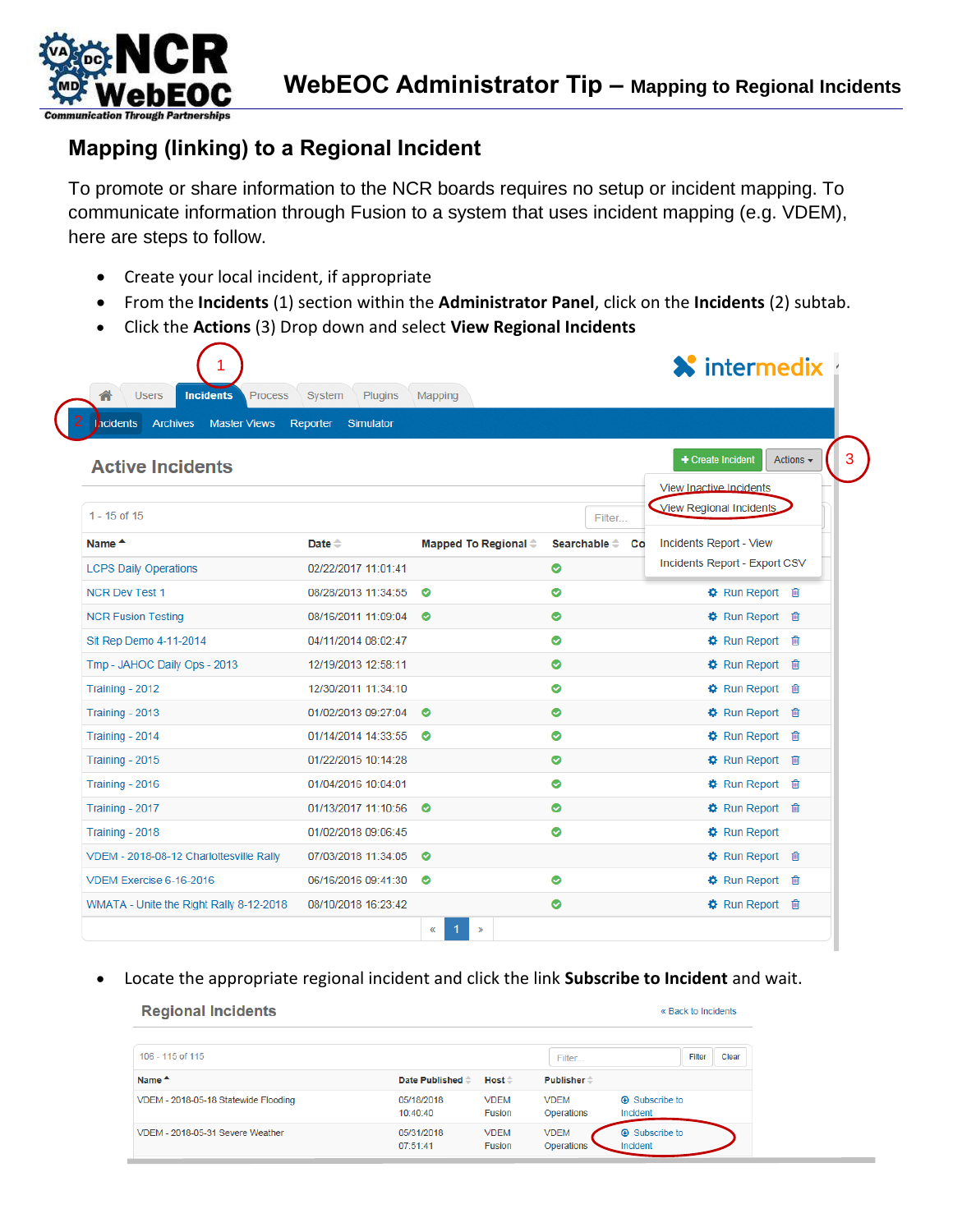

#### **Mapping (linking) to a Regional Incident**

To promote or share information to the NCR boards requires no setup or incident mapping. To communicate information through Fusion to a system that uses incident mapping (e.g. VDEM), here are steps to follow.

- Create your local incident, if appropriate
- From the **Incidents** (1) section within the **Administrator Panel**, click on the **Incidents** (2) subtab.
- Click the **Actions** (3) Drop down and select **View Regional Incidents**

|                | <b>X</b> intermedix                        |                            |                                |                              |                                                    |  |  |
|----------------|--------------------------------------------|----------------------------|--------------------------------|------------------------------|----------------------------------------------------|--|--|
|                |                                            |                            | Mapping                        | System<br><b>Plugins</b>     | <b>Incidents</b><br><b>Users</b><br><b>Process</b> |  |  |
|                |                                            |                            |                                | Reporter<br><b>Simulator</b> | <b>Archives</b><br>hcidents<br><b>Master Views</b> |  |  |
| Actions $\sim$ | + Create Incident                          |                            |                                |                              | <b>Active Incidents</b>                            |  |  |
|                | View Inactive Incidents                    |                            |                                |                              |                                                    |  |  |
|                | View Regional Incidents                    | Filter                     |                                |                              | $1 - 15$ of 15                                     |  |  |
|                | Incidents Report - View                    | Searchable $\hat{=}$<br>Co | Mapped To Regional $\doteqdot$ | Date $\triangle$             | Name <sup>A</sup>                                  |  |  |
|                | Incidents Report - Export CSV              | Ø                          |                                | 02/22/2017 11:01:41          | <b>LCPS Daily Operations</b>                       |  |  |
|                | <b>な</b> Run Report 面                      | ◎                          | $\bullet$                      | 08/28/2013 11:34:55          | <b>NCR Dev Test 1</b>                              |  |  |
|                | <b>な</b> Run Report 自                      | $\bullet$                  | $\bullet$                      | 08/16/2011 11:09:04          | <b>NCR Fusion Testing</b>                          |  |  |
|                | <b><math>\bigoplus</math></b> Run Report 画 | ◎                          |                                | 04/11/2014 08:02:47          | Sit Rep Demo 4-11-2014                             |  |  |
|                | <b>⇔</b> Run Report <del>■</del>           | $\bullet$                  |                                | 12/19/2013 12:58:11          | Tmp - JAHOC Daily Ops - 2013                       |  |  |
|                | <b>な</b> Run Report 自                      | Ø                          |                                | 12/30/2011 11:34:10          | Training - 2012                                    |  |  |
|                | <b>な</b> Run Report 自                      | ◎                          | $\bullet$                      | 01/02/2013 09:27:04          | Training - 2013                                    |  |  |
|                | <b>な</b> Run Report 自                      | $\bullet$                  | $\bullet$                      | 01/14/2014 14:33:55          | Training - 2014                                    |  |  |
|                | <b>な</b> Run Report 自                      | $\bullet$                  |                                | 01/22/2015 10:14:28          | Training - 2015                                    |  |  |
|                | <b><math>\bigoplus</math></b> Run Report 画 | ◎                          |                                | 01/04/2016 10:04:01          | Training - 2016                                    |  |  |
|                |                                            | $\bullet$                  | $\bullet$                      | 01/13/2017 11:10:56          | Training - 2017                                    |  |  |
|                | <b><math>\bigoplus</math></b> Run Report   | ◎                          |                                | 01/02/2018 09:06:45          | Training - 2018                                    |  |  |
|                | <b>な</b> Run Report 自                      |                            | $\bullet$                      | 07/03/2018 11:34:05          | VDEM - 2018-08-12 Charlottesville Rally            |  |  |
|                | <b>な</b> Run Report 自                      | Ø                          | ◉                              | 06/16/2016 09:41:30          | VDEM Exercise 6-16-2016                            |  |  |
|                | <b><math>\bigoplus</math></b> Run Report 画 | ◎                          |                                | 08/10/2018 16:23:42          | WMATA - Unite the Right Rally 8-12-2018            |  |  |
|                |                                            |                            | 1<br>$\alpha$<br>$\mathbf{w}$  |                              |                                                    |  |  |

• Locate the appropriate regional incident and click the link **Subscribe to Incident** and wait.

« Back to Incidents

#### **Regional Incidents**

#### 106 - 115 of 115 Filter Clear Filter Name <sup>A</sup> Date Published  $\hat{\div}$ Host $\hat{=}$ Publisher  $\hat{=}$ VDEM - 2018-05-18 Statewide Flooding 05/18/2018 **VDEM VDEM A** Subscribe to 10:40:40 Fusion Operations Incident 05/31/2018 VDEM - 2018-05-31 Severe Weather **VDEM VDEM A** Subscribe to 07:51:41 Fusion Operations Incident